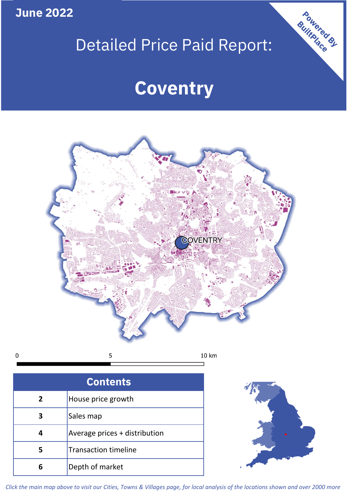**June 2022**

# Detailed Price Paid Report:

# **Coventry**



 $\mathbf 0$ 

| <b>Contents</b> |                               |  |  |
|-----------------|-------------------------------|--|--|
| $\mathbf{2}$    | House price growth            |  |  |
| 3               | Sales map                     |  |  |
|                 | Average prices + distribution |  |  |
| 5               | <b>Transaction timeline</b>   |  |  |
| 6               | Depth of market               |  |  |



Powered By

*Click the main map above to visit our Cities, Towns & Villages page, for local analysis of the locations shown and over 2000 more*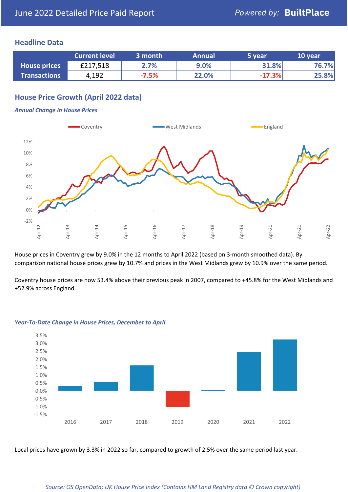### **Headline Data**

|                     | <b>Current level</b> | 3 month | <b>Annual</b> | '5 year  | 10 year |
|---------------------|----------------------|---------|---------------|----------|---------|
| <b>House prices</b> | £217,518             | 2.7%    | 9.0%          | 31.8%    | 76.7%   |
| <b>Transactions</b> | 4,192                | $-7.5%$ | 22.0%         | $-17.3%$ | 25.8%   |

# **House Price Growth (April 2022 data)**

#### *Annual Change in House Prices*



House prices in Coventry grew by 9.0% in the 12 months to April 2022 (based on 3-month smoothed data). By comparison national house prices grew by 10.7% and prices in the West Midlands grew by 10.9% over the same period.

Coventry house prices are now 53.4% above their previous peak in 2007, compared to +45.8% for the West Midlands and +52.9% across England.



#### *Year-To-Date Change in House Prices, December to April*

Local prices have grown by 3.3% in 2022 so far, compared to growth of 2.5% over the same period last year.

#### *Source: OS OpenData; UK House Price Index (Contains HM Land Registry data © Crown copyright)*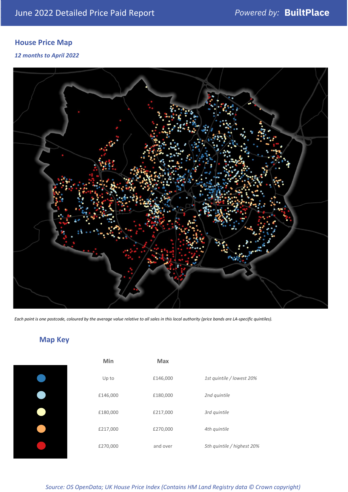# **House Price Map**

*12 months to April 2022*



*Each point is one postcode, coloured by the average value relative to all sales in this local authority (price bands are LA-specific quintiles).*

# **Map Key**

| Min      | <b>Max</b> |                            |
|----------|------------|----------------------------|
| Up to    | £146,000   | 1st quintile / lowest 20%  |
| £146,000 | £180,000   | 2nd quintile               |
| £180,000 | £217,000   | 3rd quintile               |
| £217,000 | £270,000   | 4th quintile               |
| £270,000 | and over   | 5th quintile / highest 20% |

*Source: OS OpenData; UK House Price Index (Contains HM Land Registry data © Crown copyright)*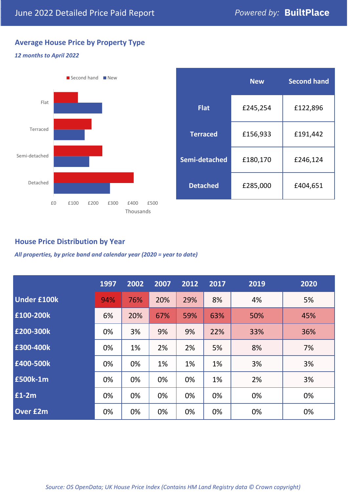# **Average House Price by Property Type**

#### *12 months to April 2022*



|                 | <b>New</b> | <b>Second hand</b> |  |
|-----------------|------------|--------------------|--|
| <b>Flat</b>     | £245,254   | £122,896           |  |
| <b>Terraced</b> | £156,933   | £191,442           |  |
| Semi-detached   | £180,170   | £246,124           |  |
| <b>Detached</b> | £285,000   | £404,651           |  |

## **House Price Distribution by Year**

*All properties, by price band and calendar year (2020 = year to date)*

|                    | 1997 | 2002 | 2007 | 2012 | 2017 | 2019 | 2020 |
|--------------------|------|------|------|------|------|------|------|
| <b>Under £100k</b> | 94%  | 76%  | 20%  | 29%  | 8%   | 4%   | 5%   |
| £100-200k          | 6%   | 20%  | 67%  | 59%  | 63%  | 50%  | 45%  |
| E200-300k          | 0%   | 3%   | 9%   | 9%   | 22%  | 33%  | 36%  |
| £300-400k          | 0%   | 1%   | 2%   | 2%   | 5%   | 8%   | 7%   |
| £400-500k          | 0%   | 0%   | 1%   | 1%   | 1%   | 3%   | 3%   |
| <b>£500k-1m</b>    | 0%   | 0%   | 0%   | 0%   | 1%   | 2%   | 3%   |
| £1-2m              | 0%   | 0%   | 0%   | 0%   | 0%   | 0%   | 0%   |
| <b>Over £2m</b>    | 0%   | 0%   | 0%   | 0%   | 0%   | 0%   | 0%   |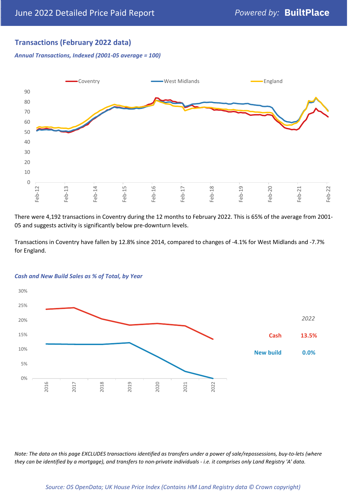# **Transactions (February 2022 data)**

*Annual Transactions, Indexed (2001-05 average = 100)*



There were 4,192 transactions in Coventry during the 12 months to February 2022. This is 65% of the average from 2001- 05 and suggests activity is significantly below pre-downturn levels.

Transactions in Coventry have fallen by 12.8% since 2014, compared to changes of -4.1% for West Midlands and -7.7% for England.



#### *Cash and New Build Sales as % of Total, by Year*

*Note: The data on this page EXCLUDES transactions identified as transfers under a power of sale/repossessions, buy-to-lets (where they can be identified by a mortgage), and transfers to non-private individuals - i.e. it comprises only Land Registry 'A' data.*